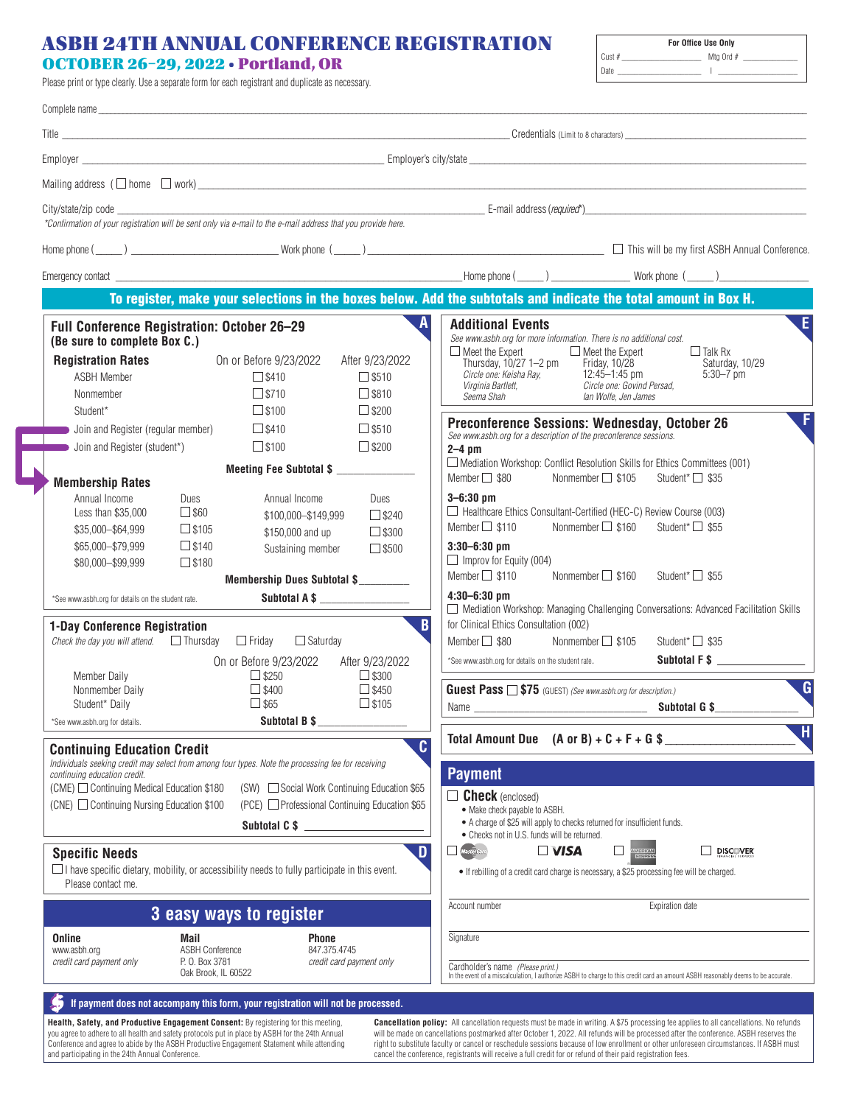## ASBH 24TH ANNUAL CONFERENCE REGISTRATION

## OCTOBER 26–29, 2022 • Portland, OR

Please print or type clearly. Use a separate form for each registrant and duplicate as necessary.

| Cust $#$<br>Mtg Ord #<br>Date | <b>For Office Use Only</b> |  |
|-------------------------------|----------------------------|--|
|                               |                            |  |
|                               |                            |  |

|                                                                                                                                                                                                               | Title <b>the community of the community of the community of the community of the community of the community of the community of the community of the community of the community of the community of the community of the communi</b>                                                                                                    |                                                                                                                                                                                                                                                                                                                                                                                                                                       |
|---------------------------------------------------------------------------------------------------------------------------------------------------------------------------------------------------------------|-----------------------------------------------------------------------------------------------------------------------------------------------------------------------------------------------------------------------------------------------------------------------------------------------------------------------------------------|---------------------------------------------------------------------------------------------------------------------------------------------------------------------------------------------------------------------------------------------------------------------------------------------------------------------------------------------------------------------------------------------------------------------------------------|
|                                                                                                                                                                                                               |                                                                                                                                                                                                                                                                                                                                         |                                                                                                                                                                                                                                                                                                                                                                                                                                       |
|                                                                                                                                                                                                               |                                                                                                                                                                                                                                                                                                                                         |                                                                                                                                                                                                                                                                                                                                                                                                                                       |
|                                                                                                                                                                                                               |                                                                                                                                                                                                                                                                                                                                         |                                                                                                                                                                                                                                                                                                                                                                                                                                       |
|                                                                                                                                                                                                               |                                                                                                                                                                                                                                                                                                                                         |                                                                                                                                                                                                                                                                                                                                                                                                                                       |
|                                                                                                                                                                                                               |                                                                                                                                                                                                                                                                                                                                         |                                                                                                                                                                                                                                                                                                                                                                                                                                       |
|                                                                                                                                                                                                               |                                                                                                                                                                                                                                                                                                                                         | To register, make your selections in the boxes below. Add the subtotals and indicate the total amount in Box H.                                                                                                                                                                                                                                                                                                                       |
| Full Conference Registration: October 26-29<br>(Be sure to complete Box C.)                                                                                                                                   |                                                                                                                                                                                                                                                                                                                                         | $\overline{\mathsf{E}}$<br><b>Additional Events</b><br>See www.asbh.org for more information. There is no additional cost.                                                                                                                                                                                                                                                                                                            |
| <b>Registration Rates</b><br><b>ASBH Member</b><br>Nonmember<br>Student*                                                                                                                                      | On or Before 9/23/2022<br>After 9/23/2022<br>$\square$ \$410<br>$\square$ \$510<br>$\square$ \$710<br>$\square$ \$810<br>$\square$ \$100<br>$\Box$ \$200                                                                                                                                                                                | $\Box$ Meet the Expert<br>$\Box$ Meet the Expert<br>$\Box$ Talk Rx<br>Thursday, 10/27 1-2 pm<br>Friday, 10/28<br>Saturday, 10/29<br>12:45-1:45 pm<br>$5:30 - 7$ pm<br>Circle one: Keisha Ray,<br>Virginia Bartlett,<br>Circle one: Govind Persad,<br>Seema Shah<br>lan Wolfe, Jen James<br>. F<br><b>Preconference Sessions: Wednesday, October 26</b>                                                                                |
| Join and Register (regular member)<br>Join and Register (student*)                                                                                                                                            | $\square$ \$510<br>$\square$ \$410<br>$\Box$ \$200<br>$\square$ \$100<br>Meeting Fee Subtotal \$                                                                                                                                                                                                                                        | See www.asbh.org for a description of the preconference sessions.<br>$2-4$ pm<br>$\Box$ Mediation Workshop: Conflict Resolution Skills for Ethics Committees (001)                                                                                                                                                                                                                                                                    |
| <b>Membership Rates</b><br>Annual Income<br>Dues<br>$\Box$ \$60<br>Less than \$35,000<br>$\square$ \$105<br>\$35,000-\$64,999<br>$\square$ \$140<br>\$65,000-\$79,999<br>$\square$ \$180<br>\$80,000-\$99,999 | Annual Income<br>Dues<br>\$100,000-\$149,999<br>$\square$ \$240<br>$\square$ \$300<br>\$150,000 and up<br>$\square$ \$500<br>Sustaining member                                                                                                                                                                                          | Member $\Box$ \$80<br>Nonmember □ \$105<br>Student* $\Box$ \$35<br>$3 - 6:30$ pm<br>Healthcare Ethics Consultant-Certified (HEC-C) Review Course (003)<br>Nonmember □ \$160<br>Student* $\Box$ \$55<br>Member $\Box$ \$110<br>$3:30 - 6:30$ pm<br>$\Box$ Improv for Equity (004)                                                                                                                                                      |
| *See www.asbh.org for details on the student rate.                                                                                                                                                            | Membership Dues Subtotal \$<br>Subtotal A \$                                                                                                                                                                                                                                                                                            | Member $\Box$ \$110<br>Nonmember $\Box$ \$160<br>Student* $\Box$ \$55<br>$4:30 - 6:30$ pm<br>□ Mediation Workshop: Managing Challenging Conversations: Advanced Facilitation Skills                                                                                                                                                                                                                                                   |
| 1-Day Conference Registration<br>Check the day you will attend. $\Box$ Thursday $\Box$ Friday $\Box$ Saturday<br>Member Daily<br>Nonmember Daily                                                              | B<br>On or Before 9/23/2022<br>After 9/23/2022<br>$\Box$ \$250<br>$\Box$ \$300<br>$\Box$ \$450<br>$\square$ \$400                                                                                                                                                                                                                       | for Clinical Ethics Consultation (002)<br>Member $\Box$ \$80<br>Nonmember $\Box$ \$105<br>Student* $\Box$ \$35<br>Subtotal F \$<br>*See www.asbh.org for details on the student rate.<br>$\overline{\mathsf{G}}$<br><b>Guest Pass 15 \$75</b> (GUEST) (See www.asbh.org for description.)                                                                                                                                             |
| Student* Daily<br>*See www.asbh.org for details.                                                                                                                                                              | $\Box$ \$65<br>$\Box$ \$105<br>Subtotal B \$                                                                                                                                                                                                                                                                                            |                                                                                                                                                                                                                                                                                                                                                                                                                                       |
| <b>Continuing Education Credit</b><br>continuing education credit.<br>(CME) □ Continuing Medical Education \$180<br>(CNE) □ Continuing Nursing Education \$100<br><b>Specific Needs</b><br>Please contact me. | C<br>Individuals seeking credit may select from among four types. Note the processing fee for receiving<br>(SW) □ Social Work Continuing Education \$65<br>(PCE) □ Professional Continuing Education \$65<br>Subtotal C \$<br>D<br>$\Box$ I have specific dietary, mobility, or accessibility needs to fully participate in this event. | H,<br>Total Amount Due $(A \text{ or } B) + C + F + G$ \$<br><b>Payment</b><br><b>Check</b> (enclosed)<br>• Make check payable to ASBH.<br>• A charge of \$25 will apply to checks returned for insufficient funds.<br>• Checks not in U.S. funds will be returned.<br><i><b>MasterCard</b></i><br>$\Box$ VISA<br>□<br><b>DISCOVER</b><br>• If rebilling of a credit card charge is necessary, a \$25 processing fee will be charged. |
|                                                                                                                                                                                                               | 3 easy ways to register                                                                                                                                                                                                                                                                                                                 | Expiration date<br>Account number                                                                                                                                                                                                                                                                                                                                                                                                     |
| <b>Online</b><br>Mail<br>www.asbh.org<br>credit card payment only<br>P. O. Box 3781                                                                                                                           | Phone<br><b>ASBH Conference</b><br>847.375.4745<br>credit card payment only<br>Oak Brook, IL 60522                                                                                                                                                                                                                                      | Signature<br>Cardholder's name (Please print.)<br>In the event of a miscalculation, I authorize ASBH to charge to this credit card an amount ASBH reasonably deems to be accurate.                                                                                                                                                                                                                                                    |
|                                                                                                                                                                                                               | If payment does not accompany this form, your registration will not be processed.<br>Safety, and Productive Engagement Consent: By registering for this meeting                                                                                                                                                                         | <b>Cancellation nolicy:</b> All cancellation requests must be made in writing A \$75 processing fee                                                                                                                                                                                                                                                                                                                                   |

**Health, Safety, and Productive Engagement Consent:** By registering for this meeting,<br>you agree to adhere to all health and safety protocols put in place by ASBH for the 24th Annual<br>Conference and agree to abide by the ASB

**Cancellation policy:** All cancellation requests must be made in writing. A \$75 processing fee applies to all cancellations. No refunds<br>will be made on cancellations postmarked after October 1, 2022. All refunds will be pr right to substitute faculty or cancel or reschedule sessions because of low enrollment or other unforeseen circumstances. If ASBH must<br>cancel the conference, registrants will receive a full credit for or refund of their pa